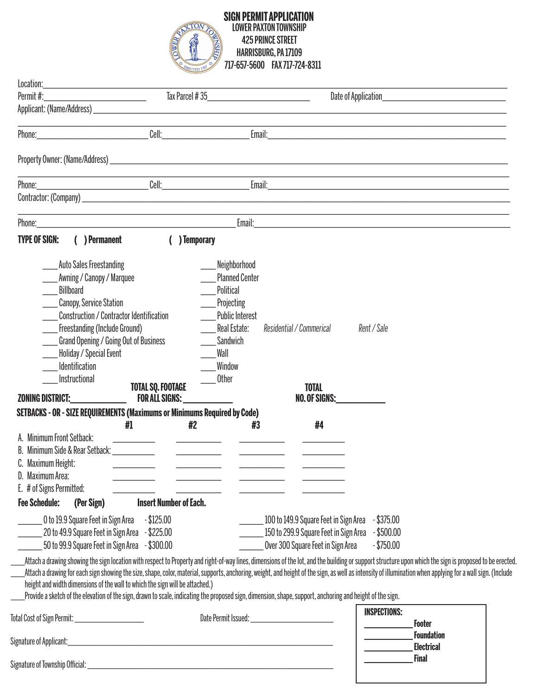

## **SIGN PERMIT APPLICATION** LOWER PAXTON TOWNSHIP 425 PRINCE STREET HARRISBURG, PA 17109 SIGN F PAXTON 10WN31...<br>10WER PAXTON 10WN31...<br>425 PRINCE STREET<br>717-657-5600 FAX 717-724-8311

| Location:                                                                                                                                                                                                                                                                                                                                                                                                                                                                                                                                                                                                                                                          |                                                                                                           |                                                                                                                                                                |                                                                                                                                           |                     |                                                                                                                                                                                                                               |
|--------------------------------------------------------------------------------------------------------------------------------------------------------------------------------------------------------------------------------------------------------------------------------------------------------------------------------------------------------------------------------------------------------------------------------------------------------------------------------------------------------------------------------------------------------------------------------------------------------------------------------------------------------------------|-----------------------------------------------------------------------------------------------------------|----------------------------------------------------------------------------------------------------------------------------------------------------------------|-------------------------------------------------------------------------------------------------------------------------------------------|---------------------|-------------------------------------------------------------------------------------------------------------------------------------------------------------------------------------------------------------------------------|
| Permit#:<br><u> 1980 - Johann Barbara, martxa al</u>                                                                                                                                                                                                                                                                                                                                                                                                                                                                                                                                                                                                               | Tax Parcel #35                                                                                            |                                                                                                                                                                | Date of Application                                                                                                                       |                     |                                                                                                                                                                                                                               |
|                                                                                                                                                                                                                                                                                                                                                                                                                                                                                                                                                                                                                                                                    |                                                                                                           |                                                                                                                                                                |                                                                                                                                           |                     |                                                                                                                                                                                                                               |
| Phone: Cell: Cell:                                                                                                                                                                                                                                                                                                                                                                                                                                                                                                                                                                                                                                                 |                                                                                                           |                                                                                                                                                                |                                                                                                                                           |                     |                                                                                                                                                                                                                               |
|                                                                                                                                                                                                                                                                                                                                                                                                                                                                                                                                                                                                                                                                    |                                                                                                           |                                                                                                                                                                |                                                                                                                                           |                     |                                                                                                                                                                                                                               |
|                                                                                                                                                                                                                                                                                                                                                                                                                                                                                                                                                                                                                                                                    |                                                                                                           |                                                                                                                                                                |                                                                                                                                           |                     |                                                                                                                                                                                                                               |
|                                                                                                                                                                                                                                                                                                                                                                                                                                                                                                                                                                                                                                                                    |                                                                                                           |                                                                                                                                                                |                                                                                                                                           |                     |                                                                                                                                                                                                                               |
|                                                                                                                                                                                                                                                                                                                                                                                                                                                                                                                                                                                                                                                                    |                                                                                                           |                                                                                                                                                                |                                                                                                                                           |                     | Email: 2004 - 2005 - 2006 - 2007 - 2008 - 2009 - 2009 - 2009 - 2009 - 2009 - 2009 - 2009 - 2009 - 2009 - 2009 - 2009 - 2009 - 2009 - 2009 - 2009 - 2009 - 2009 - 2009 - 2009 - 2009 - 2009 - 2009 - 2009 - 2009 - 2009 - 2009 |
| <b>TYPE OF SIGN:</b><br>( ) Permanent                                                                                                                                                                                                                                                                                                                                                                                                                                                                                                                                                                                                                              | ) Temporary                                                                                               |                                                                                                                                                                |                                                                                                                                           |                     |                                                                                                                                                                                                                               |
| <b>Auto Sales Freestanding</b><br>Awning / Canopy / Marquee<br><b>Billboard</b><br><b>Canopy, Service Station</b><br>Construction / Contractor Identification<br>Freestanding (Include Ground)<br>Grand Opening / Going Out of Business<br>Holiday / Special Event<br><b>Identification</b><br>Instructional<br><b>ZONING DISTRICT:</b><br>SETBACKS - OR - SIZE REQUIREMENTS (Maximums or Minimums Required by Code)<br>#1<br>A. Minimum Front Setback:<br>B. Minimum Side & Rear Setback: University of Allen<br>C. Maximum Height:                                                                                                                               | <b>TOTAL SQ. FOOTAGE</b><br><b>FOR ALL SIGNS:</b><br>#2<br><u> The Communication of the Communication</u> | Neighborhood<br><b>Planned Center</b><br>Political<br>Projecting<br><b>Public Interest</b><br>Real Estate:<br>Sandwich<br>Wall<br>Window<br><b>Other</b><br>#3 | Residential / Commerical<br><b>TOTAL</b><br>NO. OF SIGNS:<br>#4                                                                           | Rent / Sale         |                                                                                                                                                                                                                               |
| Maximum Area:<br>E. # of Signs Permitted:                                                                                                                                                                                                                                                                                                                                                                                                                                                                                                                                                                                                                          |                                                                                                           |                                                                                                                                                                |                                                                                                                                           |                     |                                                                                                                                                                                                                               |
| <b>Fee Schedule:</b><br>(Per Sign)                                                                                                                                                                                                                                                                                                                                                                                                                                                                                                                                                                                                                                 | <b>Insert Number of Each.</b>                                                                             |                                                                                                                                                                |                                                                                                                                           |                     |                                                                                                                                                                                                                               |
| 20 to 49.9 Square Feet in Sign Area - \$225.00<br>50 to 99.9 Square Feet in Sign Area - \$300.00                                                                                                                                                                                                                                                                                                                                                                                                                                                                                                                                                                   |                                                                                                           |                                                                                                                                                                | 100 to 149.9 Square Feet in Sign Area - \$375.00<br>150 to 299.9 Square Feet in Sign Area - \$500.00<br>Over 300 Square Feet in Sign Area | $-$ \$750.00        |                                                                                                                                                                                                                               |
| Attach a drawing showing the sign location with respect to Property and right-of-way lines, dimensions of the lot, and the building or support structure upon which the sign is proposed to be erected.<br>Attach a drawing for each sign showing the size, shape, color, material, supports, anchoring, weight, and height of the sign, as well as intensity of illumination when applying for a wall sign. (Include<br>height and width dimensions of the wall to which the sign will be attached.)<br>Provide a sketch of the elevation of the sign, drawn to scale, indicating the proposed sign, dimension, shape, support, anchoring and height of the sign. |                                                                                                           |                                                                                                                                                                |                                                                                                                                           |                     |                                                                                                                                                                                                                               |
| Total Cost of Sign Permit: ______________________                                                                                                                                                                                                                                                                                                                                                                                                                                                                                                                                                                                                                  |                                                                                                           |                                                                                                                                                                |                                                                                                                                           | <b>INSPECTIONS:</b> | <b>Footer</b>                                                                                                                                                                                                                 |
|                                                                                                                                                                                                                                                                                                                                                                                                                                                                                                                                                                                                                                                                    |                                                                                                           |                                                                                                                                                                |                                                                                                                                           |                     | Foundation<br>Electrical                                                                                                                                                                                                      |
|                                                                                                                                                                                                                                                                                                                                                                                                                                                                                                                                                                                                                                                                    |                                                                                                           |                                                                                                                                                                |                                                                                                                                           |                     | <b>Final</b>                                                                                                                                                                                                                  |